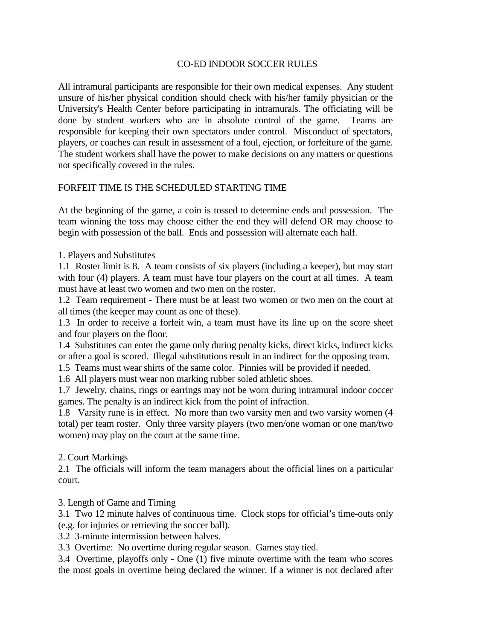## CO-ED INDOOR SOCCER RULES

All intramural participants are responsible for their own medical expenses. Any student unsure of his/her physical condition should check with his/her family physician or the University's Health Center before participating in intramurals. The officiating will be done by student workers who are in absolute control of the game. Teams are responsible for keeping their own spectators under control. Misconduct of spectators, players, or coaches can result in assessment of a foul, ejection, or forfeiture of the game. The student workers shall have the power to make decisions on any matters or questions not specifically covered in the rules.

## FORFEIT TIME IS THE SCHEDULED STARTING TIME

At the beginning of the game, a coin is tossed to determine ends and possession. The team winning the toss may choose either the end they will defend OR may choose to begin with possession of the ball. Ends and possession will alternate each half.

1. Players and Substitutes

1.1 Roster limit is 8. A team consists of six players (including a keeper), but may start with four (4) players. A team must have four players on the court at all times. A team must have at least two women and two men on the roster.

1.2 Team requirement - There must be at least two women or two men on the court at all times (the keeper may count as one of these).

 1.3 In order to receive a forfeit win, a team must have its line up on the score sheet and four players on the floor.

1.4 Substitutes can enter the game only during penalty kicks, direct kicks, indirect kicks or after a goal is scored. Illegal substitutions result in an indirect for the opposing team.

1.5 Teams must wear shirts of the same color. Pinnies will be provided if needed.

1.6 All players must wear non marking rubber soled athletic shoes.

1.7 Jewelry, chains, rings or earrings may not be worn during intramural indoor coccer games. The penalty is an indirect kick from the point of infraction.

1.8 Varsity rune is in effect. No more than two varsity men and two varsity women (4 total) per team roster. Only three varsity players (two men/one woman or one man/two women) may play on the court at the same time.

2. Court Markings

2.1 The officials will inform the team managers about the official lines on a particular court.

3. Length of Game and Timing

3.1 Two 12 minute halves of continuous time. Clock stops for official's time-outs only (e.g. for injuries or retrieving the soccer ball).

3.2 3-minute intermission between halves.

3.3 Overtime: No overtime during regular season. Games stay tied.

3.4 Overtime, playoffs only - One (1) five minute overtime with the team who scores the most goals in overtime being declared the winner. If a winner is not declared after